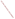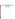# **Format and Content for Section 319 Success Stories**

**June 21, 2007**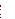# **Outline of NPS Success Story with Examples**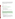<span id="page-3-0"></span>*Each story should run 1-2 pages in length, addressing all of the information identified in each category below to the extent possible (aim for a maximum of 950 words). The story should provide a clear, succinct summary in plain language so that the general public*  will be able to understand. Use a non-technical, plain language description or definition *(or photo) that demonstrates the meaning. Please note that all examples below are excerpted from published Success Stories.* 

#### **I. TITLE**

(1) Create a brief title that uses a verb.

#### *Example:*

Stream Restoration Efforts Reduce Impacts of Acid Mine Drainage

#### **II. WATERBODY IMPROVED** *(one paragraph)*

- (1) What was the water quality problem?
- (2) What was done to address the problem?
- (3) Did the waterbody improve or was it removed from the state's 303(d) list?

#### *Example:*

The North Fork of the South Branch of the Potomac River is a scenic trout stream in the headwaters of the Potomac River in northeastern West Virginia. Water in the North Fork had high levels of fecal coliform bacteria, primarily from agricultural runoff from beef and poultry farms. Over 85 percent of farmers in the watershed worked together to construct animal waste storage facilities, establish riparian buffers, and implement a range of other best management practices (BMPs) at the farms. As a result, the stream now meets its designated use and is no longer impaired by fecal coliform bacteria.

#### **III. PROBLEM** *(generally two paragraphs)*

- (1) Specify the location of the waterbody, and, if relevant, geographic connection with other streams/rivers.
- (2) (a) What year was the waterbody put on the 303(d) list? (b) What beneficial use was not met? (c) Which parameter was the cause of the listing, if known? (d) If not identified in the listing, what pollutant(s) is believed to have been responsible for the impairment?
- (3) What specific segment (and/or length) of the waterbody was listed?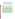- (4) Describe the source(s) of the problem and specify category and subcategory (e.g., agriculture, cattle with access to streams).
- (5) If desired, list any major study that may have documented the problem. If data is available, include monitoring results that showed the water quality problem.
- (6) Was a TMDL done? If so, please provide information (e.g., the waterbody was listed for [*insert parameter here*], and the TMDL said it was necessary to meet a target of [*insert concentration or loading*] to achieve water quality standards).
- (7) What is the water quality goal or water quality standard that needed to be achieved to address the problem (e.g. rolling 7 day maximum average of 64°F)?

#### *Example 1:*

Cobbossee Lake (short for Cobbosseecontee), a large 5238-acre lake in central Maine, is valued by people for fishing, swimming, boating, and wildlife. One of Maine's premier bass fishing lakes, Cobbossee Lake is also a secondary source of drinking water for Maine's capital—Augusta.

In the 1960s water quality in Cobbossee Lake began to deteriorate. Elevated nutrient (i.e., phosphorus) levels spurred the growth of noxious blue-green algae, which reduced water clarity, formed green surface scums, and depleted oxygen in the bottom waters of the lake. The excess phosphorus in Cobbossee Lake's watershed was caused by soil erosion and runoff from agricultural, residential, and commercial lands, and the gradual conversion of forested land into developed land. The other significant source of phosphorus came from Annabessacook Lake, immediately upstream of Cobbossee. At one time, Annabessacook received sewage discharges from the town of Winthrop, and this nutrient-rich sewage caused algae blooms. Although sewage discharges to Annabessacook Lake were eliminated by 1977, the phosphorus in the lake's sediments continued to recycle and flow into Cobbossee Lake.

The Total Maximum Daily Load (TMDL) assessment developed for Cobbossee Lake in 1995 estimated that two-thirds of the external phosphorus load came from the lake's direct 32 square-mile watershed, and one-third came from the indirect upstream watershed. Agriculture accounted for about 60 percent of the phosphorus and developed lands accounted for about 40 percent of the phosphorus load. The TMDL showed that in-lake phosphorus needed to be reduced to 15 parts per billion (ppb), or 5,904 kg P/yr, for Cobbossee to attain Maine's water quality criterion for water clarity (more than 2 meters of Secchi Disc Transparency).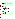# <span id="page-5-0"></span>*Example 2:*

Furlong Creek flows through Mackinac County in Michigan's Upper Peninsula. Surveys conducted in 1989 found diverse fish and macroinvertebrate communities in the creek. By 1999, however, cattle grazing on private property had unrestricted access to the creek. The animals walked in the creek and trampled riparian vegetation, causing excessive instream habitat disturbance and sedimentation.

Subsequent creek monitoring revealed low fish and macroinvertebrate diversity. Pollutionsensitive insect families (e.g., caddisflies, stoneflies, and mayflies) and fish species (e.g., rainbow trout) were absent or very rare. These aquatic life support impairments led Michigan to place a 4-mile segment of Furlong Creek on its 303(d) list in 1996.

# **IV. PROJECT HIGHLIGHTS** *(generally two paragraphs)*

(1) What major BMPs /activities addressed causes of pollution and demonstrated instream improvements?

- (2) Who were major partners in the effort?
- (3) During what timeframe did the activities occur?
- (4) Was there a larger context of a watershed / comprehensive plan?
- (5) Are there ongoing plans to continue improvement?

#### *Example 1:*

In August 2001 EPA approved a TMDL for siltation that called for a 50 percent reduction in sediment delivery to the lake. To accomplish this goal, the Decatur County Conservation Board and the Decatur Soil and Water Conservation District proposed the construction of two large basins to slow sediment delivery originating from gully erosion. The Iowa Department of Natural Resources' (IDNR) Nonpoint Source Pollution Program provided further suggestions to address the problem using a watershed approach. As a result, the plan was expanded to include seven smaller sediment basins throughout the watershed. To further stabilize the shoreline of Slip Bluff Lake, the Iowa Department of Transportation and the Iowa Department of Agriculture and Land Stewardship, Division of Soil Conservation (IDALS-DSC), provided funds to riprap portions of the shoreline.

To ensure the continued success of this project, the Decatur County Conservation Board maintained the project by planting additional seedings in exposed soil on the constructed sediment basins.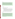# <span id="page-6-0"></span>*Example 2:*

An educational effort on reducing fertilizer and chemical usage targeted landowners and highlighted the benefits of potential cost savings. One-on-one meetings and public sessions were held to teach peanut and alfalfa growers integrated pest management techniques including proper weed and insect scouting, determining pest thresholds, interpreting soil test reports and proper fungicide use. Demonstration BMPs illustrated techniques to manage vegetation; exclude cattle from riparian zones; and reduce nutrient, pesticide, and sediment loading. BMPs implemented from 1995 to 2002 included reduced tillage planting in peanut fields, riparian fencing, alternative livestock water source construction, grade stabilization structures, diversion terraces, deferred grazing, rotational grazing, and revegetation in riparian zones.

# **V. RESULTS**

(1) What water quality goals were achieved?

(2) Was the waterbody delisted? If so, which year was it delisted, or when does the state expect to delist the waterbody?

**Note:** *EPA may count this waterbody as being "partially or fully restored" for Strategic Plan purposes (Category 1 story) even if the waterbody has not officially been removed from the 303(d) list, as long as the story demonstrates that actual restoration has occurred and the state has nominated that the waterbody be delisted in the next 303(d) cycle. It is not sufficient to merely believe by the next 303(d) list cycle, that restoration will have occurred.* 

- (3) Were there load reductions in other pollutants that indicate progress?
- (4) Were any new ordinances or laws put into place as a result of the actions?

# *Example 1:*

By 2003 biological integrity and habitat at Blue Spring Creek had improved, as measured by the higher diversity and types of macroinvertebrates such as insects, crayfish, snails, and clams—indicators of good water quality. Almost twice as many EPT families (a category of insects used to measure water quality) were present in 2003 (11 EPT) than in 1999 (6 EPT), and 25 different taxa were collected in 2003 as compared to 15 different taxa found in 1999. Eight of these families are intolerant of pollution. These metric values represent the highest score possible (15) out of a family-level biological reconnaissance (biorecon) index that considers scores from 11 to 15 indicative of a non-impaired biological community. The habitat assessment score had improved from 114 in 1999, which is considered inadequate in the ecoregion, to a score of 136—well above the target habitat score of 123, which indicates a healthy biological population in the ecoregion. As a result, Blue Spring Creek was removed from Tennessee's 303(d) list in 2004.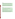The Bass Lake restoration project achieved TMDL targets by reducing the average phosphorus concentrations from 490 *µ*g/L to 10 *µ*g/L, and the lake will be removed from the state's 303(d) list in the next listing cycle. Farmers' participation in nutrient management planning should reduce nutrient delivery from cropped areas in the watershed even further.

The alum treatment dramatically reduced total phosphorus in Bass Lake. Without the high concentration of phosphorus to feed on, heavy blue-green algae blooms no longer cover the lake and water clarity continues to improve. Secchi disk readings have improved from less than 10 feet before the project to up to 20 feet during July 2004 after the alum treatment. No fish kills have been noted since the project, and the fish population appears healthy.

#### *Example 3:*

Between March and October of both 2003 and 2005, ADEM collected dissolved oxygen data at three sites on the impaired segment of the Flint River. The agency also collected continuous dissolved oxygen data at two of the sites during July 2005.

As shown in the following table, only two monthly measurements (4.6 mg/L and 4.97 mg/L) fell below the state minimum criterion of 5.0 mg/L for the public water supply and fish and wildlife designated water use classifications. Furthermore, none of the continuous dissolved oxygen measurements were below the minimum criterion.

ADEM's assessment methodology stipulates that conventional water quality parameters, including dissolved oxygen, may not exceed water quality standards more than 10 percent of the time in waterbodies designated as public water supply and fish and wildlife resources. The data demonstrate that this 28-mile segment of the river now meets this requirement. As a result, ADEM has proposed that the segment be removed from the state's 2006 303(d) list of impaired waters. The next scheduled monitoring year for the segment is 2008.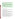# <span id="page-8-0"></span>*Example 4:*

The accompanying table compares key Whetstone Brook biomonitoring results with Class B water guidelines. Data highlighted in bold indicate the waterbody's failure to meet aquatic life support biocriteria for Vermont Class B waters. These data led to Whetstone Brook being added to Vermont's 303(d) list in 1998.

The monitoring team reassessed the segment in 2002 and found significant biological improvement. However, before 2004 (when Vermont revised its listing methodology for impaired waters), a waterbody could not be removed from the state's impaired list until 2 years of biological monitoring data showed compliance with water quality standards. Such compliance was confirmed in 2003. The EPT richness, BI values, and other biological indicators for both years remained well within the Class B guideline. In addition, the team found no evidence of oil sheens either year.

Because of these findings, VT DEC concluded that oil/grease no longer impaired Whetstone Brook's aesthetic and aquatic life uses. As a result, Vermont removed the waterbody from its 303(d) list in 2004. Whetstone Brook is scheduled to be monitored again in 2008.

# **VI. PARTNERS and FUNDING**

(1) List specific partners who contributed to the improvements in the waterbody.

(2) List specific amounts of section 319 dollars dedicated to the project (mention total amount over the lifetime of the project).

(3) What did the section 319 dollars support?

(4) If section 319 grant money was not used for the project, please describe the involvement in this project by any staff member who works in the states' nonpoint source program, if applicable. Additionally, was the project patterned after any other projects that have been funded by section 319? The objective here is to try and link 319 program elements to the success of the project.

(5) Identify other matching sources of funding (e.g., state agricultural funds, USDA/EQIP, SRF, and local/private if such information is available).

(6) Please provide GRTS numbers (9 digit grant number) if applicable. GRTS numbers are for internal tracking purposes only and will not be included in the story. If the Region or State is unable to provide this information, HQ will attempt to match up project with GRTS numbers. In this case, please provide project name.

(7) BONUS question: What Congressional District does the waterbody reside in? This is for the purposes of tailored mailings to congressional members, which are frequently requested by Office of Water management or by the Office of Congressional and International Relations (OCIR). If the state cannot provide this information, Headquarters staff will attempt to determine the District number.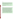# *Example 1:*

The cooperation of 28 members of the LVWCC, representing local, state, and federal agencies, local environmental groups, businesses, and interested citizens, was essential in the creation of a comprehensive management plan for the Las Vegas Wash. Volunteers also played an important role in the project, providing the needed labor for wetland and riparian plantings and invasive vegetation removal. The overall cost to implement the CAMP is projected to be approximately \$127 million through 2013.

As of 2006, \$33 million has been spent on CAMP implementation. Approximately \$600,000 of section 319 funds was used to support construction of erosion control structures, bank revegetation, and public outreach efforts. Participating agencies contributed \$1.8 million during the 2005–2006 fiscal year.

#### *Example 2:*

Partners involved in the effort were North Carolina Division of Water Quality, Soil and Water Conservation Districts, North Carolina Division of Soil and Water Conservation, North Carolina Cooperative Extension, U.S. Department of Agriculture's Natural Resources Conservation Service, North Carolina Department of Agriculture, North Carolina Farm Bureau, North Carolina State University, and agricultural community and commodity groups. The North Carolina Environment Management Commission brought together stakeholder groups of affected parties and provided the participants with a chance to express differing viewpoints. Stakeholders involved in the process included environmental groups, municipalities, developers, businesses, and the public. The North Carolina Agriculture Cost Share Program, administered by the Division of Soil and Water Conservation (DSWC), contributed \$12.5 million between 1992 and 2003. Another DSWC-administered program, the federal Conservation Reserve Enhancement Program, has obligated approximately \$33.1 million in the Tar-Pamlico River Basin since 1998. Between 1995 and 2003, approximately \$2.67 million in Clean Water Act section 319 expenditures supported a variety of nonpoint source projects in the Tar-Pamlico Basin, including BMP demonstration and implementation, technical assistance and education, GIS mapping, development and dissemination of accounting tools, and monitoring. As part of the Phase I Agreement, the area's Point Source Association both contributed funds and acquired a section 104(b)(3) grant for agricultural BMP implementation. The combined total of their contributions was \$850,000 in nutrient-reducing BMPs in the basin.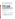#### <span id="page-10-0"></span>**Photos:**

Provide 1-2 photos of BMPs that illustrate the project actions. Photos should be of a type that helps illustrate the problem and/or the solution. Please provide a brief caption that explains and provides the context of the illustration. Photos should be 300 dpi resolution when printed at 3" X 3". Occasionally, the contractor can utilize photos with less resolution, but if that is not possible, the story will have to be published without a photo.

#### *Example:*



**Weirs are low dams designed to reduce streambed erosion by flattening the slope of the channel and slowing flows. Many weirs are constructed of confined rock riprap, providing a somewhat natural look (left). Other structures are built with concrete, resulting in a more engineered look (right). Weirs, wetland restoration, and invasive vegetation removal helped reduce total suspended solids (TSS) concentrations in lower Las Vegas Wash and led to its removal from the Nevada 303(d) list in 2004.** 

# **Table/Graph/Chart:**

If data is provided that documents improvements in water quality, please label axes, indicate water quality target/endpoints, and provide brief caption that explains the data. Please attach graphs as separate files, if possible.

#### *Example 1:*

Chase Brook Biomonitoring Results

| Sampling site            | Date      | Assessment<br>rating | <b>EPT</b> | Density<br>(individuals/ $m^2$ ) | Individuals<br>from |
|--------------------------|-----------|----------------------|------------|----------------------------------|---------------------|
|                          |           |                      |            |                                  | Oligochaeta         |
|                          |           |                      |            |                                  | (%)                 |
| 1.2                      | 9/14/1993 | Fair                 | 15.0       | 357                              | 10.6                |
| 1.2                      | 9/20/1994 | Fair                 | 22.5       | 584                              | 23.8                |
| 1.2                      | 10/6/1998 | Fair                 | 19.0       | 493                              | 11.7                |
| 1.2                      | 9/18/2000 | Very good            | 19.0       | 673                              | 2.4                 |
| 1.2                      | 9/2/2002  | Good                 | 16.7       | 1253                             | 1.4                 |
| <b>Class B Guideline</b> |           |                      | $>16.0*$   | > 300                            | < 12.0              |

\* Vermont Class B Guideline for EPT was 18.0 until the state changed it to 16.0 in 2002.